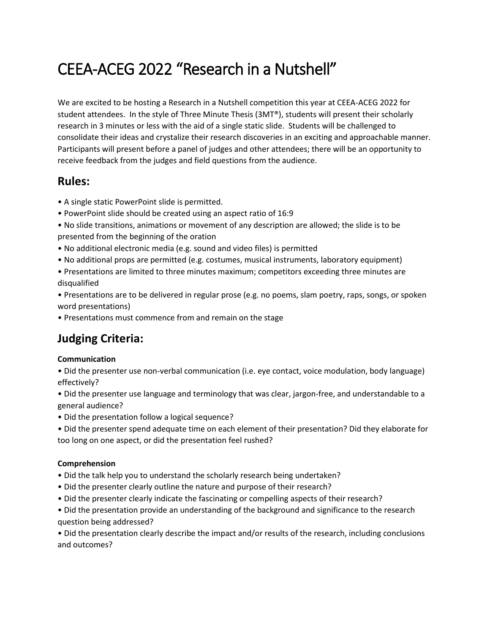# CEEA-ACEG 2022 "Research in a Nutshell"

We are excited to be hosting a Research in a Nutshell competition this year at CEEA-ACEG 2022 for student attendees. In the style of Three Minute Thesis (3MT®), students will present their scholarly research in 3 minutes or less with the aid of a single static slide. Students will be challenged to consolidate their ideas and crystalize their research discoveries in an exciting and approachable manner. Participants will present before a panel of judges and other attendees; there will be an opportunity to receive feedback from the judges and field questions from the audience.

### **Rules:**

- A single static PowerPoint slide is permitted.
- PowerPoint slide should be created using an aspect ratio of 16:9
- No slide transitions, animations or movement of any description are allowed; the slide is to be presented from the beginning of the oration
- No additional electronic media (e.g. sound and video files) is permitted
- No additional props are permitted (e.g. costumes, musical instruments, laboratory equipment)
- Presentations are limited to three minutes maximum; competitors exceeding three minutes are disqualified

• Presentations are to be delivered in regular prose (e.g. no poems, slam poetry, raps, songs, or spoken word presentations)

• Presentations must commence from and remain on the stage

## **Judging Criteria:**

#### **Communication**

• Did the presenter use non-verbal communication (i.e. eye contact, voice modulation, body language) effectively?

• Did the presenter use language and terminology that was clear, jargon-free, and understandable to a general audience?

- Did the presentation follow a logical sequence?
- Did the presenter spend adequate time on each element of their presentation? Did they elaborate for too long on one aspect, or did the presentation feel rushed?

#### **Comprehension**

- Did the talk help you to understand the scholarly research being undertaken?
- Did the presenter clearly outline the nature and purpose of their research?
- Did the presenter clearly indicate the fascinating or compelling aspects of their research?
- Did the presentation provide an understanding of the background and significance to the research question being addressed?

• Did the presentation clearly describe the impact and/or results of the research, including conclusions and outcomes?